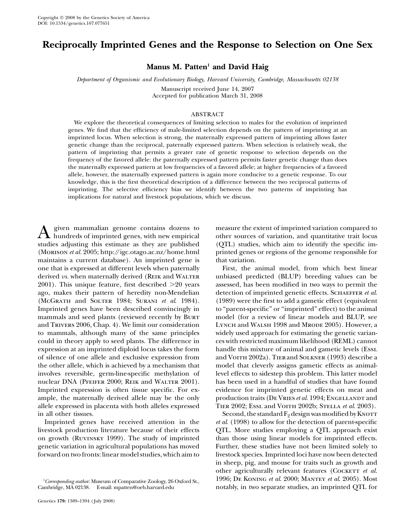# Reciprocally Imprinted Genes and the Response to Selection on One Sex

Manus M. Patten<sup>1</sup> and David Haig

Department of Organismic and Evolutionary Biology, Harvard University, Cambridge, Massachusetts 02138

Manuscript received June 14, 2007 Accepted for publication March 31, 2008

## ABSTRACT

We explore the theoretical consequences of limiting selection to males for the evolution of imprinted genes. We find that the efficiency of male-limited selection depends on the pattern of imprinting at an imprinted locus. When selection is strong, the maternally expressed pattern of imprinting allows faster genetic change than the reciprocal, paternally expressed pattern. When selection is relatively weak, the pattern of imprinting that permits a greater rate of genetic response to selection depends on the frequency of the favored allele: the paternally expressed pattern permits faster genetic change than does the maternally expressed pattern at low frequencies of a favored allele; at higher frequencies of a favored allele, however, the maternally expressed pattern is again more conducive to a genetic response. To our knowledge, this is the first theoretical description of a difference between the two reciprocal patterns of imprinting. The selective efficiency bias we identify between the two patterns of imprinting has implications for natural and livestock populations, which we discuss.

A given mammalian genome contains dozens to<br>hundreds of imprinted genes, with new empirical<br>trial continuous character of the case and listed studies adjusting this estimate as they are published (Morison et al. 2005; http://igc.otago.ac.nz/home.html maintains a current database). An imprinted gene is one that is expressed at different levels when paternally derived vs. when maternally derived (REIK and WALTER 2001). This unique feature, first described  $>20$  years ago, makes their pattern of heredity non-Mendelian (McGrath and Solter 1984; Surani et al. 1984). Imprinted genes have been described convincingly in mammals and seed plants (reviewed recently by Burt and Trivers 2006, Chap. 4). We limit our consideration to mammals, although many of the same principles could in theory apply to seed plants. The difference in expression at an imprinted diploid locus takes the form of silence of one allele and exclusive expression from the other allele, which is achieved by a mechanism that involves reversible, germ-line-specific methylation of nuclear DNA (PFEIFER 2000; REIK and WALTER 2001). Imprinted expression is often tissue specific. For example, the maternally derived allele may be the only allele expressed in placenta with both alleles expressed in all other tissues.

Imprinted genes have received attention in the livestock production literature because of their effects on growth (Ruvinsky 1999). The study of imprinted genetic variation in agricultural populations has moved forward on two fronts: linear model studies, which aim to

measure the extent of imprinted variation compared to other sources of variation, and quantitative trait locus (QTL) studies, which aim to identify the specific imprinted genes or regions of the genome responsible for that variation.

First, the animal model, from which best linear unbiased predicted (BLUP) breeding values can be assessed, has been modified in two ways to permit the detection of imprinted genetic effects. SCHAEFFER et al. (1989) were the first to add a gametic effect (equivalent to "parent-specific" or "imprinted" effect) to the animal model (for a review of linear models and BLUP, see LYNCH and WALSH 1998 and MRODE 2005). However, a widely used approach for estimating the genetic variances with restricted maximum likelihood (REML) cannot handle this mixture of animal and gametic levels (EssL) and Voith 2002a). Tierand Solkner (1993) describe a model that cleverly assigns gametic effects as animallevel effects to sidestep this problem. This latter model has been used in a handful of studies that have found evidence for imprinted genetic effects on meat and production traits (DE VRIES et al. 1994; ENGELLANDT and TIER 2002; Essl and VOITH 2002b; STELLA et al. 2003).

Second, the standard  $F_2$  design was modified by KNOTT et al. (1998) to allow for the detection of parent-specific QTL. More studies employing a QTL approach exist than those using linear models for imprinted effects. Further, these studies have not been limited solely to livestock species. Imprinted loci have now been detected in sheep, pig, and mouse for traits such as growth and other agriculturally relevant features (COCKETT et al. 1996; De KONING et al. 2000; MANTEY et al. 2005). Most notably, in two separate studies, an imprinted QTL for

<sup>&</sup>lt;sup>1</sup> Corresponding author: Museum of Comparative Zoology, 26 Oxford St., Cambridge, MA 02138. E-mail: mpatten@oeb.harvard.edu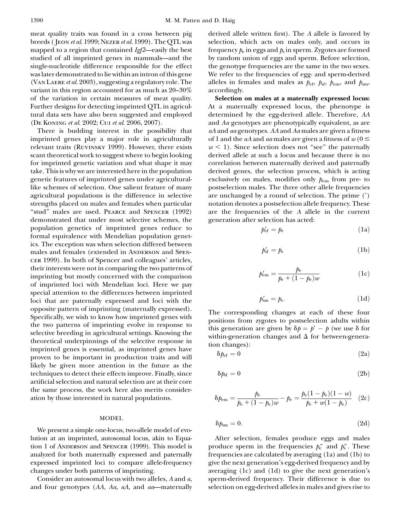meat quality traits was found in a cross between pig breeds ( Jeon et al. 1999; Nezer et al. 1999). The QTL was mapped to a region that contained Igf2—easily the best studied of all imprinted genes in mammals—and the single-nucleotide difference responsible for the effect was later demonstrated to lie within an intron of this gene (VAN LAERE *et al.* 2003), suggesting a regulatory role. The variant in this region accounted for as much as 20–30% of the variation in certain measures of meat quality. Further designs for detecting imprinted QTL in agricultural data sets have also been suggested and employed (De Koning et al. 2002; Cui et al. 2006, 2007).

There is budding interest in the possibility that imprinted genes play a major role in agriculturally relevant traits (Ruvinsky 1999). However, there exists scant theoretical work to suggest where to begin looking for imprinted genetic variation and what shape it may take. This is why we are interested here in the population genetic features of imprinted genes under agriculturallike schemes of selection. One salient feature of many agricultural populations is the difference in selective strengths placed on males and females when particular "stud" males are used. PEARCE and SPENCER (1992) demonstrated that under most selective schemes, the population genetics of imprinted genes reduce to formal equivalence with Mendelian population genetics. The exception was when selection differed between males and females (extended in ANDERSON and SPENcer 1999). In both of Spencer and colleagues' articles, their interests were not in comparing the two patterns of imprinting but mostly concerned with the comparison of imprinted loci with Mendelian loci. Here we pay special attention to the differences between imprinted loci that are paternally expressed and loci with the opposite pattern of imprinting (maternally expressed). Specifically, we wish to know how imprinted genes with the two patterns of imprinting evolve in response to selective breeding in agricultural settings. Knowing the theoretical underpinnings of the selective response in imprinted genes is essential, as imprinted genes have proven to be important in production traits and will likely be given more attention in the future as the techniques to detect their effects improve. Finally, since artificial selection and natural selection are at their core the same process, the work here also merits consideration by those interested in natural populations.

#### MODEL

We present a simple one-locus, two-allele model of evolution at an imprinted, autosomal locus, akin to Equation 1 of Anderson and Spencer (1999). This model is analyzed for both maternally expressed and paternally expressed imprinted loci to compare allele-frequency changes under both patterns of imprinting.

Consider an autosomal locus with two alleles, A and a, and four genotypes (AA, Aa, aA, and aa—maternally derived allele written first). The A allele is favored by selection, which acts on males only, and occurs in frequency  $p_e$  in eggs and  $p_s$  in sperm. Zygotes are formed by random union of eggs and sperm. Before selection, the genotype frequencies are the same in the two sexes. We refer to the frequencies of egg- and sperm-derived alleles in females and males as  $p_{\rm ef}$ ,  $p_{\rm sf}$ ,  $p_{\rm em}$ , and  $p_{\rm sm}$ , accordingly.

Selection on males at a maternally expressed locus: At a maternally expressed locus, the phenotype is determined by the egg-derived allele. Therefore, AA and Aa genotypes are phenotypically equivalent, as are aA and aa genotypes. AA and Aa males are given a fitness of 1 and the *aA* and *aa* males are given a fitness of  $w(0 \leq$  $w < 1$ ). Since selection does not "see" the paternally derived allele at such a locus and because there is no correlation between maternally derived and paternally derived genes, the selection process, which is acting exclusively on males, modifies only  $p_{\text{em}}$  from pre- to postselection males. The three other allele frequencies are unchanged by a round of selection. The prime () notation denotes a postselection allele frequency. These are the frequencies of the A allele in the current generation after selection has acted:

$$
p'_{\rm ef} = p_{\rm e} \tag{1a}
$$

$$
p'_{\rm sf} = p_{\rm s} \tag{1b}
$$

$$
p'_{\rm em} = \frac{p_{\rm e}}{p_{\rm e} + (1 - p_{\rm e})w}
$$
 (1c)

$$
p'_{\rm sm} = p_{\rm s}.\tag{1d}
$$

The corresponding changes at each of these four positions from zygotes to postselection adults within this generation are given by  $\delta p = p' - p$  (we use  $\delta$  for within-generation changes and  $\Delta$  for between-generation changes):

$$
\delta p_{\rm ef} = 0 \tag{2a}
$$

$$
\delta p_{\rm sf} = 0 \tag{2b}
$$

$$
\delta p_{\rm em} = \frac{p_{\rm e}}{p_{\rm e} + (1 - p_{\rm e})w} - p_{\rm e} = \frac{p_{\rm e}(1 - p_{\rm e})(1 - w)}{p_{\rm e} + w(1 - p_{\rm e})} \quad (2c)
$$

$$
\delta p_{\rm sm} = 0. \tag{2d}
$$

After selection, females produce eggs and males produce sperm in the frequencies  $p_e^{\prime\prime}$  and  $p_s^{\prime\prime}$ . These frequencies are calculated by averaging (1a) and (1b) to give the next generation's egg-derived frequency and by averaging (1c) and (1d) to give the next generation's sperm-derived frequency. Their difference is due to selection on egg-derived alleles in males and gives rise to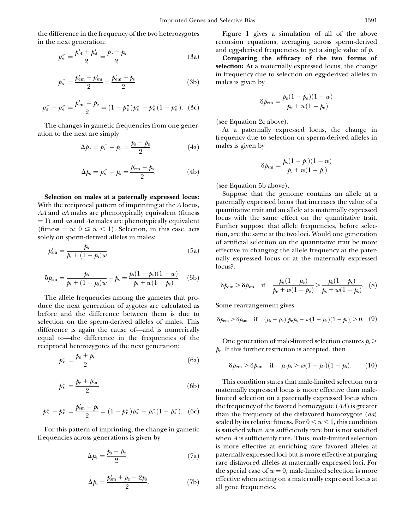the difference in the frequency of the two heterozygotes in the next generation:

$$
p_e'' = \frac{p_{\rm ef}' + p_{\rm sf}'}{2} = \frac{p_{\rm e} + p_{\rm s}}{2} \tag{3a}
$$

$$
p_s'' = \frac{p_{\rm em}' + p_{\rm sm}'}{2} = \frac{p_{\rm em}' + p_{\rm s}}{2} \tag{3b}
$$

$$
p_s'' - p_e'' = \frac{p_{\rm em}' - p_{\rm e}}{2} = (1 - p_e'')p_s'' - p_e''(1 - p_s'').
$$
 (3c)

The changes in gametic frequencies from one generation to the next are simply

$$
\Delta p_e = p_e'' - p_e = \frac{p_s - p_e}{2}
$$
 (4a)

$$
\Delta p_s = p_s'' - p_s = \frac{p_{\text{cm}}' - p_s}{2}.
$$
\n(4b)

Selection on males at a paternally expressed locus: With the reciprocal pattern of imprinting at the A locus, AA and aA males are phenotypically equivalent (fitness  $(1)$  and aa and Aa males are phenotypically equivalent (fitness  $=w$ ,  $0 \leq w < 1$ ). Selection, in this case, acts solely on sperm-derived alleles in males:

$$
p'_{\rm sm} = \frac{p_{\rm s}}{p_{\rm s} + (1 - p_{\rm s})w} \tag{5a}
$$

$$
\delta p_{\rm sm} = \frac{p_{\rm s}}{p_{\rm s} + (1 - p_{\rm s})w} - p_{\rm s} = \frac{p_{\rm s}(1 - p_{\rm s})(1 - w)}{p_{\rm s} + w(1 - p_{\rm s})}.\tag{5b}
$$

The allele frequencies among the gametes that produce the next generation of zygotes are calculated as before and the difference between them is due to selection on the sperm-derived alleles of males. This difference is again the cause of—and is numerically equal to—the difference in the frequencies of the reciprocal heterozygotes of the next generation:

$$
p_e'' = \frac{p_e + p_s}{2} \tag{6a}
$$

$$
p_s'' = \frac{p_e + p_{\rm sm}'}{2} \tag{6b}
$$

$$
p_s'' - p_e'' = \frac{p_{\rm sm}' - p_s}{2} = (1 - p_e'')p_s'' - p_e''(1 - p_s'').
$$
 (6c)

For this pattern of imprinting, the change in gametic frequencies across generations is given by

$$
\Delta p_e = \frac{p_s - p_e}{2} \tag{7a}
$$

$$
\Delta p_{\rm s} = \frac{p_{\rm sm}^{\prime} + p_{\rm e} - 2p_{\rm s}}{2}.\tag{7b}
$$

Figure 1 gives a simulation of all of the above recursion equations, averaging across sperm-derived and egg-derived frequencies to get a single value of  $p$ .

Comparing the efficacy of the two forms of selection: At a maternally expressed locus, the change in frequency due to selection on egg-derived alleles in males is given by

$$
\delta p_{\rm em} = \frac{p_{\rm e}(1 - p_{\rm e})(1 - w)}{p_{\rm e} + w(1 - p_{\rm e})}
$$

(see Equation 2c above).

At a paternally expressed locus, the change in frequency due to selection on sperm-derived alleles in males is given by

$$
\delta p_{\rm sm} = \frac{p_{\rm s}(1-p_{\rm s})(1-w)}{p_{\rm s}+w(1-p_{\rm s})}
$$

(see Equation 5b above).

Suppose that the genome contains an allele at a paternally expressed locus that increases the value of a quantitative trait and an allele at a maternally expressed locus with the same effect on the quantitative trait. Further suppose that allele frequencies, before selection, are the same at the two loci. Would one generation of artificial selection on the quantitative trait be more effective in changing the allele frequency at the paternally expressed locus or at the maternally expressed locus?:

$$
\delta p_{\rm em} > \delta p_{\rm sm}
$$
 if  $\frac{p_{\rm e}(1-p_{\rm e})}{p_{\rm e} + w(1-p_{\rm e})} > \frac{p_{\rm s}(1-p_{\rm s})}{p_{\rm s} + w(1-p_{\rm s})}$ . (8)

Some rearrangement gives

$$
\delta p_{\rm em} > \delta p_{\rm sm}
$$
 if  $(p_s - p_e)[p_e p_s - w(1 - p_e)(1 - p_s)] > 0.$  (9)

One generation of male-limited selection ensures  $p_s$  $p_e$ . If this further restriction is accepted, then

$$
\delta p_{\rm em} > \delta p_{\rm sm} \quad \text{if} \quad p_{\rm e} p_{\rm s} > w(1 - p_{\rm e})(1 - p_{\rm s}). \tag{10}
$$

This condition states that male-limited selection on a maternally expressed locus is more effective than malelimited selection on a paternally expressed locus when the frequency of the favored homozygote (AA) is greater than the frequency of the disfavored homozygote (aa) scaled by its relative fitness. For  $0 \leq w \leq 1$ , this condition is satisfied when  $a$  is sufficiently rare but is not satisfied when A is sufficiently rare. Thus, male-limited selection is more effective at enriching rare favored alleles at paternally expressed loci but is more effective at purging rare disfavored alleles at maternally expressed loci. For the special case of  $w = 0$ , male-limited selection is more effective when acting on a maternally expressed locus at all gene frequencies.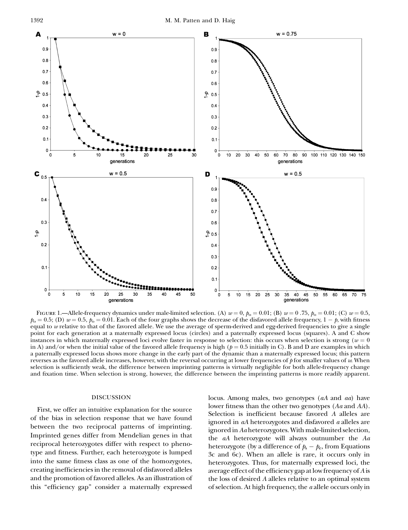

FIGURE 1.—Allele-frequency dynamics under male-limited selection. (A)  $w = 0$ ,  $p_0 = 0.01$ ; (B)  $w = 0.75$ ,  $p_0 = 0.01$ ; (C)  $w = 0.5$ ,  $p_{\rm o} = 0.5;$  (D)  $w = 0.5,$   $p_{\rm o} = 0.01.$  Each of the four graphs shows the decrease of the disfavored allele frequency,  $1-p$ , with fitness equal to w relative to that of the favored allele. We use the average of sperm-derived and egg-derived frequencies to give a single point for each generation at a maternally expressed locus (circles) and a paternally expressed locus (squares). A and C show instances in which maternally expressed loci evolve faster in response to selection: this occurs when selection is strong ( $w = 0$ ) in A) and/or when the initial value of the favored allele frequency is high ( $p = 0.5$  initially in C). B and D are examples in which a paternally expressed locus shows more change in the early part of the dynamic than a maternally expressed locus; this pattern reverses as the favored allele increases, however, with the reversal occurring at lower frequencies of  $p$  for smaller values of  $w$ . When selection is sufficiently weak, the difference between imprinting patterns is virtually negligible for both allele-frequency change and fixation time. When selection is strong, however, the difference between the imprinting patterns is more readily apparent.

### DISCUSSION

First, we offer an intuitive explanation for the source of the bias in selection response that we have found between the two reciprocal patterns of imprinting. Imprinted genes differ from Mendelian genes in that reciprocal heterozygotes differ with respect to phenotype and fitness. Further, each heterozygote is lumped into the same fitness class as one of the homozygotes, creating inefficiencies in the removal of disfavored alleles and the promotion of favored alleles. As an illustration of this ''efficiency gap'' consider a maternally expressed locus. Among males, two genotypes (aA and aa) have lower fitness than the other two genotypes (Aa and AA). Selection is inefficient because favored A alleles are ignored in aA heterozygotes and disfavored a alleles are ignored in Aa heterozygotes. With male-limited selection, the aA heterozygote will always outnumber the Aa heterozygote (by a difference of  $p_{\rm s}-p_{\rm e}$ , from Equations 3c and 6c). When an allele is rare, it occurs only in heterozygotes. Thus, for maternally expressed loci, the average effect of the efficiency gap at low frequency of  $A$  is the loss of desired A alleles relative to an optimal system of selection. At high frequency, the a allele occurs only in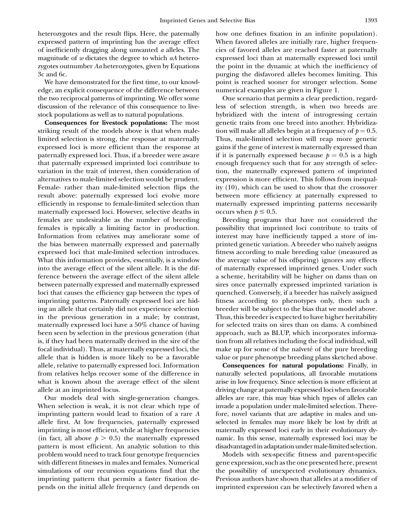heterozygotes and the result flips. Here, the paternally expressed pattern of imprinting has the average effect of inefficiently dragging along unwanted a alleles. The magnitude of  $w$  dictates the degree to which  $aA$  heterozygotes outnumber Aa heterozygotes, given by Equations 3c and 6c.

We have demonstrated for the first time, to our knowledge, an explicit consequence of the difference between the two reciprocal patterns of imprinting. We offer some discussion of the relevance of this consequence to livestock populations as well as to natural populations.

Consequences for livestock populations: The most striking result of the models above is that when malelimited selection is strong, the response at maternally expressed loci is more efficient than the response at paternally expressed loci. Thus, if a breeder were aware that paternally expressed imprinted loci contribute to variation in the trait of interest, then consideration of alternatives to male-limited selection would be prudent. Female- rather than male-limited selection flips the result above: paternally expressed loci evolve more efficiently in response to female-limited selection than maternally expressed loci. However, selective deaths in females are undesirable as the number of breeding females is typically a limiting factor in production. Information from relatives may ameliorate some of the bias between maternally expressed and paternally expressed loci that male-limited selection introduces. What this information provides, essentially, is a window into the average effect of the silent allele. It is the difference between the average effect of the silent allele between paternally expressed and maternally expressed loci that causes the efficiency gap between the types of imprinting patterns. Paternally expressed loci are hiding an allele that certainly did not experience selection in the previous generation in a male; by contrast, maternally expressed loci have a 50% chance of having been seen by selection in the previous generation (that is, if they had been maternally derived in the sire of the focal individual). Thus, at maternally expressed loci, the allele that is hidden is more likely to be a favorable allele, relative to paternally expressed loci. Information from relatives helps recover some of the difference in what is known about the average effect of the silent allele at an imprinted locus.

Our models deal with single-generation changes. When selection is weak, it is not clear which type of imprinting pattern would lead to fixation of a rare A allele first. At low frequencies, paternally expressed imprinting is most efficient, while at higher frequencies (in fact, all above  $p > 0.5$ ) the maternally expressed pattern is most efficient. An analytic solution to this problem would need to track four genotype frequencies with different fitnesses in males and females. Numerical simulations of our recursion equations find that the imprinting pattern that permits a faster fixation depends on the initial allele frequency (and depends on

how one defines fixation in an infinite population). When favored alleles are initially rare, higher frequencies of favored alleles are reached faster at paternally expressed loci than at maternally expressed loci until the point in the dynamic at which the inefficiency of purging the disfavored alleles becomes limiting. This point is reached sooner for stronger selection. Some numerical examples are given in Figure 1.

One scenario that permits a clear prediction, regardless of selection strength, is when two breeds are hybridized with the intent of introgressing certain genetic traits from one breed into another. Hybridization will make all alleles begin at a frequency of  $p = 0.5$ . Thus, male-limited selection will reap more genetic gains if the gene of interest is maternally expressed than if it is paternally expressed because  $p = 0.5$  is a high enough frequency such that for any strength of selection, the maternally expressed pattern of imprinted expression is more efficient. This follows from inequality (10), which can be used to show that the crossover between more efficiency at paternally expressed to maternally expressed imprinting patterns necessarily occurs when  $p \leq 0.5$ .

Breeding programs that have not considered the possibility that imprinted loci contribute to traits of interest may have inefficiently tapped a store of imprinted genetic variation. A breeder who naively assigns fitness according to male breeding value (measured as the average value of his offspring) ignores any effects of maternally expressed imprinted genes. Under such a scheme, heritability will be higher on dams than on sires once paternally expressed imprinted variation is quenched. Conversely, if a breeder has naïvely assigned fitness according to phenotypes only, then such a breeder will be subject to the bias that we model above. Thus, this breeder is expected to have higher heritability for selected traits on sires than on dams. A combined approach, such as BLUP, which incorporates information from all relatives including the focal individual, will make up for some of the naïveté of the pure breeding value or pure phenotype breeding plans sketched above.

Consequences for natural populations: Finally, in naturally selected populations, all favorable mutations arise in low frequency. Since selection is more efficient at driving change at paternally expressed loci when favorable alleles are rare, this may bias which types of alleles can invade a population under male-limited selection. Therefore, novel variants that are adaptive in males and unselected in females may more likely be lost by drift at maternally expressed loci early in their evolutionary dynamic. In this sense, maternally expressed loci may be disadvantagedin adaptation undermale-limited selection.

Models with sex-specific fitness and parent-specific gene expression, such as the one presented here, present the possibility of unexpected evolutionary dynamics. Previous authors have shown that alleles at a modifier of imprinted expression can be selectively favored when a